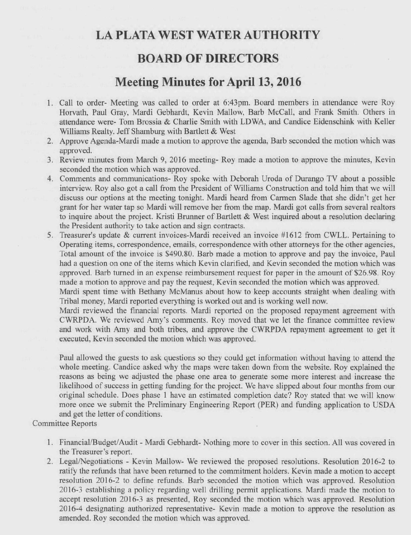## **LA PLATA WEST WATER AUTHORITY**

## **BOARD OF DIRECTORS**

## **Meeting Minutes for April 13, 2016**

- 1. Call to order- Meeting was called to order at 6:43pm. Board members in attendance were Roy Horvath, Paul Gray, Mardi Gebhardt, Kevin Mallow, Barb McCall, and Frank Smith. Others in attendance were- Tom Brossia & Charlie Smith with LDWA, and Candice Eidenschink with Keller Williams Realty. Jeff Shamburg with Bartlett & West
- 2. Approve Agenda-Mardi made a motion to approve the agenda, Barb seconded the motion which was approved.
- 3. Review minutes from March 9, 2016 meeting- Roy made a motion to approve the minutes, Kevin seconded the motion which was approved.
- 4. Comments and communications- Roy spoke with Deborah Uroda of Durango TV about a possible interview. Roy also got a call from the President of Williams Construction and told him that we will discuss our options at the meeting tonight. Mardi heard from Carmen Slade that she didn't get her grant for her water tap so Mardi will remove her from the map. Mardi got calls from several realtors to inquire about the project. Kristi Brunner of Bartlett & West inquired about a resolution declaring the President authority to take action and sign contracts.
- 5. Treasurer's update & current invoices-Mardi received an invoice #1612 from CWLL. Pertaining to Operating items, correspondence, emails, correspondence with other attorneys for the other agencies, Total amount of the invoice is \$490.80. Barb made a motion to approve and pay the invoice, Paul had a question on one of the items which Kevin clarified, and Kevin seconded the motion which was approved. Barb turned in an expense reimbursement request for paper in the amount of \$26.98. Roy made a motion to approve and pay the request, Kevin seconded the motion which was approved.

Mardi spent time with Bethany McManus about how to keep accounts straight when dealing with Tribal money, Mardi reported everything is worked out and is working well now.

Mardi reviewed the financial reports. Mardi reported on the proposed repayment agreement with CWRPDA. We reviewed Amy's comments. Roy moved that we let the finance committee review and work with Amy and both tribes, and approve the CWRPDA repayment agreement to get it executed, Kevin seconded the motion which was approved.

Paul allowed the guests to ask questions so they could get information without having to attend the whole meeting. Candice asked why the maps were taken down from the website. Roy explained the reasons as being we adjusted the phase one area to generate some more interest and increase the likelihood of success in getting funding for the project. We have slipped about four months from our original schedule. Does phase 1 have an estimated completion date? Roy stated that we will know more once we submit the Preliminary Engineering Report (PER) and funding application to USDA and get the letter of conditions.

Committee Reports

- 1. Financial/Budget/Audit Mardi Gebhardt- Nothing more to cover in this section. All was covered in the Treasurer's report.
- 2. Legal/Negotiations Kevin Mallow- We reviewed the proposed resolutions. Resolution 2016-2 to ratify the refunds that have been returned to the commitment holders. Kevin made a motion to accept resolution 2016-2 to define refunds. Barb seconded the motion which was approved. Resolution 2016-3 establishing a policy regarding well drilling permit applications. Mardi made the motion to accept resolution 2016-3 as presented, Roy seconded the motion which was approved. Resolution 2016-4 designating authorized representative- Kevin made a motion to approve the resolution as amended. Roy seconded the motion which was approved.